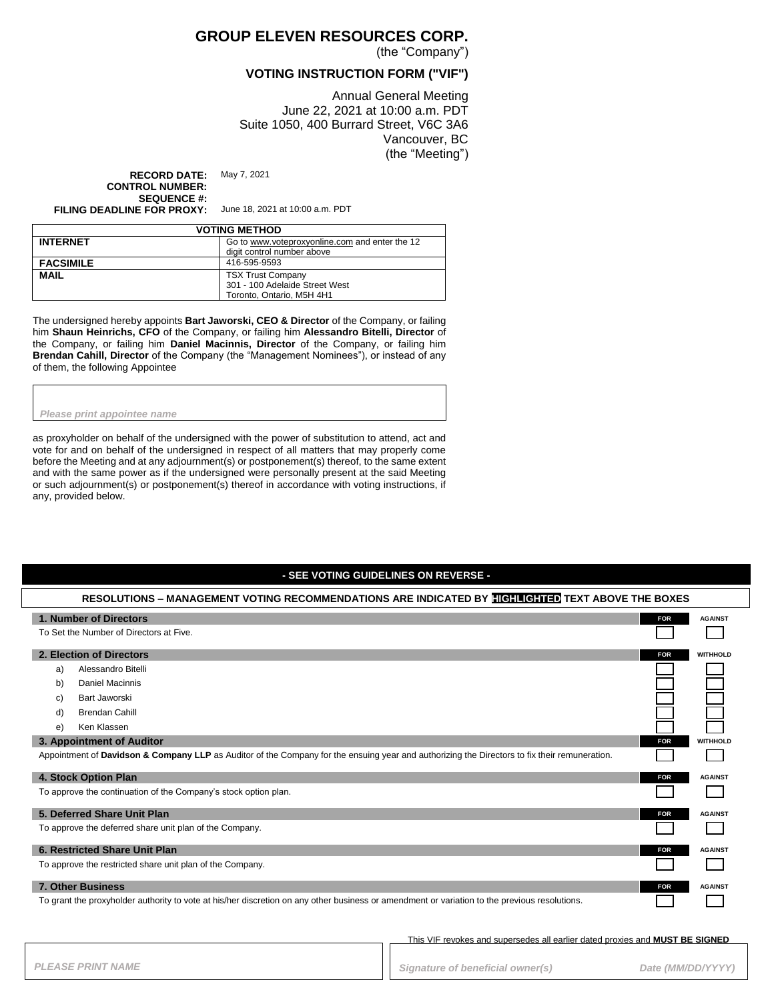### **GROUP ELEVEN RESOURCES CORP.**

(the "Company")

#### **VOTING INSTRUCTION FORM ("VIF")**

Annual General Meeting June 22, 2021 at 10:00 a.m. PDT Suite 1050, 400 Burrard Street, V6C 3A6 Vancouver, BC (the "Meeting")

**RECORD DATE:** May 7, 2021 **CONTROL NUMBER: SEQUENCE #:**

**FILING DEADLINE FOR PROXY:** June 18, 2021 at 10:00 a.m. PDT

| <b>VOTING METHOD</b> |                                                                                         |  |
|----------------------|-----------------------------------------------------------------------------------------|--|
| <b>INTERNET</b>      | Go to www.voteproxyonline.com and enter the 12<br>digit control number above            |  |
| <b>FACSIMILE</b>     | 416-595-9593                                                                            |  |
| <b>MAIL</b>          | <b>TSX Trust Company</b><br>301 - 100 Adelaide Street West<br>Toronto, Ontario, M5H 4H1 |  |

The undersigned hereby appoints **Bart Jaworski, CEO & Director** of the Company, or failing him **Shaun Heinrichs, CFO** of the Company, or failing him **Alessandro Bitelli, Director** of the Company, or failing him **Daniel Macinnis, Director** of the Company, or failing him **Brendan Cahill, Director** of the Company (the "Management Nominees"), or instead of any of them, the following Appointee

#### *Please print appointee name*

as proxyholder on behalf of the undersigned with the power of substitution to attend, act and vote for and on behalf of the undersigned in respect of all matters that may properly come before the Meeting and at any adjournment(s) or postponement(s) thereof, to the same extent and with the same power as if the undersigned were personally present at the said Meeting or such adjournment(s) or postponement(s) thereof in accordance with voting instructions, if any, provided below.

### **- SEE VOTING GUIDELINES ON REVERSE -**

| RESOLUTIONS – MANAGEMENT VOTING RECOMMENDATIONS ARE INDICATED BY HIGHLIGHTED TEXT ABOVE THE BOXES                                             |            |                 |
|-----------------------------------------------------------------------------------------------------------------------------------------------|------------|-----------------|
| 1. Number of Directors                                                                                                                        | <b>FOR</b> | <b>AGAINST</b>  |
| To Set the Number of Directors at Five.                                                                                                       |            |                 |
| 2. Election of Directors                                                                                                                      | <b>FOR</b> | <b>WITHHOLD</b> |
| Alessandro Bitelli<br>a)                                                                                                                      |            |                 |
| Daniel Macinnis<br>b)                                                                                                                         |            |                 |
| Bart Jaworski<br>C)                                                                                                                           |            |                 |
| <b>Brendan Cahill</b><br>d)                                                                                                                   |            |                 |
| Ken Klassen<br>e)                                                                                                                             |            |                 |
| 3. Appointment of Auditor                                                                                                                     | <b>FOR</b> | <b>WITHHOLD</b> |
| Appointment of Davidson & Company LLP as Auditor of the Company for the ensuing year and authorizing the Directors to fix their remuneration. |            |                 |
| 4. Stock Option Plan                                                                                                                          | <b>FOR</b> | <b>AGAINST</b>  |
| To approve the continuation of the Company's stock option plan.                                                                               |            |                 |
| 5. Deferred Share Unit Plan                                                                                                                   | <b>FOR</b> | <b>AGAINST</b>  |
| To approve the deferred share unit plan of the Company.                                                                                       |            |                 |
| 6. Restricted Share Unit Plan                                                                                                                 | <b>FOR</b> | <b>AGAINST</b>  |
| To approve the restricted share unit plan of the Company.                                                                                     |            |                 |
| <b>7. Other Business</b>                                                                                                                      | <b>FOR</b> | <b>AGAINST</b>  |
| To grant the proxyholder authority to vote at his/her discretion on any other business or amendment or variation to the previous resolutions. |            |                 |

This VIF revokes and supersedes all earlier dated proxies and **MUST BE SIGNED**